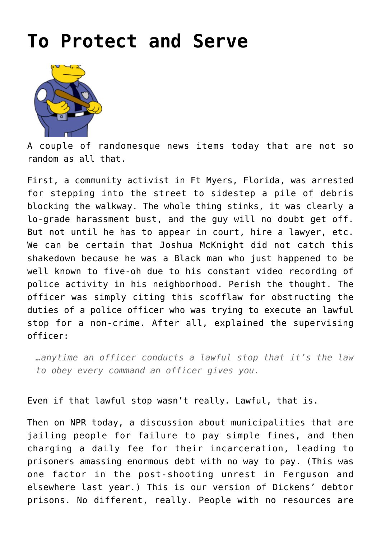## **[To Protect and Serve](http://www.immunetoboredom.com/to-protect-and-serve/)**



A couple of randomesque news items today that are not so random as all that.

First, a [community activist in Ft Myers, Florida,](https://photographyisnotacrime.com/2016/05/florida-man-ticketed-for-walking-around-debris-on-sidewalk/) was arrested for stepping into the street to sidestep a pile of debris blocking the walkway. The whole thing stinks, it was clearly a lo-grade harassment bust, and the guy will no doubt get off. But not until he has to appear in court, hire a lawyer, etc. We can be certain that Joshua McKnight did not catch this shakedown because he was a Black man who just happened to be well known to five-oh due to his constant video recording of police activity in his neighborhood. Perish the thought. The officer was simply citing this scofflaw for obstructing the duties of a police officer who was trying to execute an lawful stop for a non-crime. After all, explained the supervising officer:

*…anytime an officer conducts a lawful stop that it's the law to obey every command an officer gives you.*

Even if that lawful stop wasn't really. Lawful, that is.

Then on NPR today, a [discussion about municipalities that are](http://www.npr.org/2016/05/11/477547366/is-america-engaged-in-a-vicious-cycle-of-jailing-the-poor) [jailing people](http://www.npr.org/2016/05/11/477547366/is-america-engaged-in-a-vicious-cycle-of-jailing-the-poor) for failure to pay simple fines, and then charging a daily fee for their incarceration, leading to prisoners amassing enormous debt with no way to pay. (This was one factor in the post-shooting unrest in Ferguson and elsewhere last year.) This is our version of Dickens' debtor prisons. No different, really. People with no resources are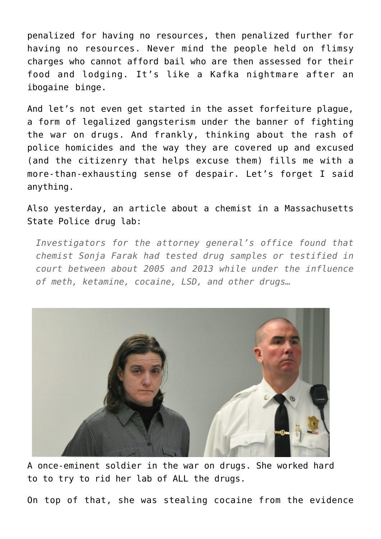penalized for having no resources, then penalized further for having no resources. Never mind the people held on flimsy charges who cannot afford bail who are then assessed for their food and lodging. It's like a Kafka nightmare after an ibogaine binge.

And let's not even get started in the [asset forfeiture plague,](https://en.wikipedia.org/wiki/Asset_forfeiture) a form of legalized gangsterism under the banner of fighting the war on drugs. And frankly, thinking about the rash of police homicides and the way they are covered up and excused (and the citizenry that helps excuse them) fills me with a more-than-exhausting sense of despair. Let's forget I said anything.

Also yesterday, [an article about a chemist](https://www.bostonglobe.com/metro/2016/05/03/state-chemist-high-job-jeopardized-untold-number-cases-report-finds/8BXJcKSpOaveHxdmKt6eoK/story.html) in a Massachusetts State Police drug lab:

*Investigators for the attorney general's office found that chemist Sonja Farak had tested drug samples or testified in court between about 2005 and 2013 while under the influence of meth, ketamine, cocaine, LSD, and other drugs…*



A once-eminent soldier in the war on drugs. She worked hard to to try to rid her lab of ALL the drugs.

On top of that, she was stealing cocaine from the evidence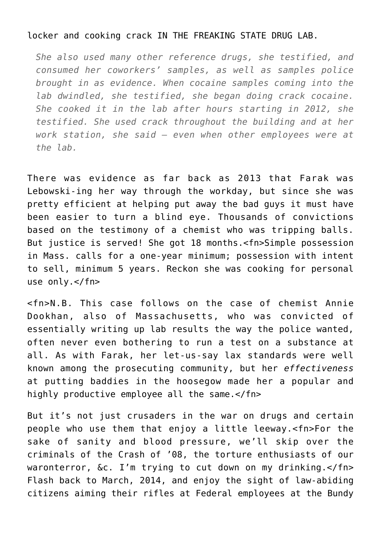## locker and cooking crack IN THE FREAKING STATE DRUG LAB.

*She also used many other reference drugs, she testified, and consumed her coworkers' samples, as well as samples police brought in as evidence. When cocaine samples coming into the lab dwindled, she testified, she began doing crack cocaine. She cooked it in the lab after hours starting in 2012, she testified. She used crack throughout the building and at her work station, she said — even when other employees were at the lab.*

There was evidence as far back as 2013 that Farak was Lebowski-ing her way through the workday, but since she was pretty efficient at helping put away the bad guys it must have been easier to turn a blind eye. Thousands of convictions based on the testimony of a chemist who was tripping balls. But justice is served! She got 18 months.<fn>Simple possession in Mass. calls for a one-year minimum; possession with intent to sell, minimum 5 years. Reckon she was cooking for personal use only.</fn>

<fn>N.B. This case follows on the case of chemist [Annie](https://en.wikipedia.org/wiki/Annie_Dookhan) [Dookhan,](https://en.wikipedia.org/wiki/Annie_Dookhan) also of Massachusetts, who was convicted of essentially writing up lab results the way the police wanted, often never even bothering to run a test on a substance at all. As with Farak, her let-us-say lax standards were well known among the prosecuting community, but her *effectiveness* at putting baddies in the hoosegow made her a popular and highly productive employee all the same.</fn>

But it's not just crusaders in the war on drugs and certain people who use them that enjoy a little leeway.<fn>For the sake of sanity and blood pressure, we'll skip over the criminals of the Crash of '08, the torture enthusiasts of our waronterror, &c. I'm trying to cut down on my drinking.</fn> Flash back to March, 2014, and enjoy the sight of law-abiding citizens aiming their rifles at Federal employees at the Bundy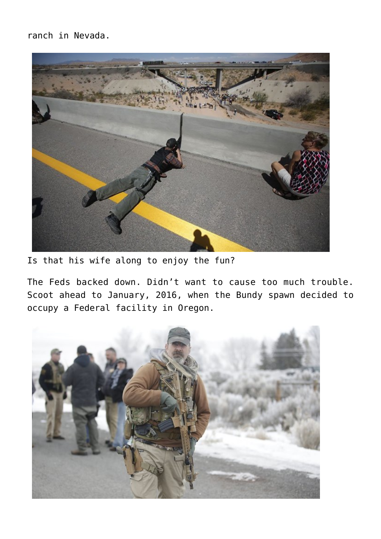ranch in Nevada.



Is that his wife along to enjoy the fun?

The Feds backed down. Didn't want to cause too much trouble. Scoot ahead to January, 2016, when the Bundy spawn decided to occupy a Federal facility in Oregon.

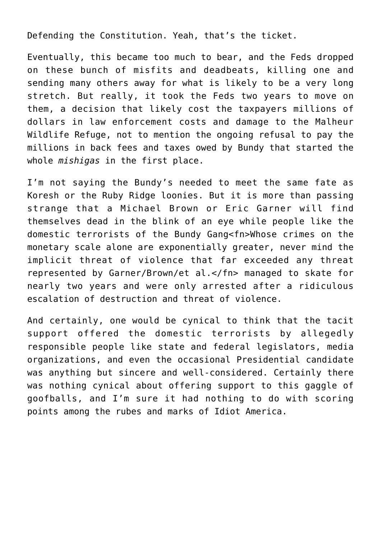Defending the Constitution. Yeah, that's the ticket.

Eventually, this became too much to bear, and the Feds dropped on these bunch of misfits and deadbeats, killing one and sending many others away for what is likely to be a very long stretch. But really, it took the Feds two years to move on them, a decision that likely cost the taxpayers millions of dollars in law enforcement costs and damage to the Malheur Wildlife Refuge, not to mention the ongoing refusal to pay the millions in back fees and taxes owed by Bundy that started the whole *mishigas* in the first place.

I'm not saying the Bundy's needed to meet the same fate as Koresh or the Ruby Ridge loonies. But it is more than passing strange that a Michael Brown or Eric Garner will find themselves dead in the blink of an eye while people like the domestic terrorists of the Bundy Gang<fn>Whose crimes on the monetary scale alone are exponentially greater, never mind the implicit threat of violence that far exceeded any threat represented by Garner/Brown/et al.</fn> managed to skate for nearly two years and were only arrested after a ridiculous escalation of destruction and threat of violence.

And certainly, one would be cynical to think that the tacit support offered the domestic terrorists by allegedly responsible people like state and federal legislators, media organizations, and even the occasional Presidential candidate was anything but sincere and well-considered. Certainly there was nothing cynical about offering support to this gaggle of goofballs, and I'm sure it had nothing to do with scoring points among the rubes and marks of [Idiot America.](http://www.charlespierce.net/29/itemPage)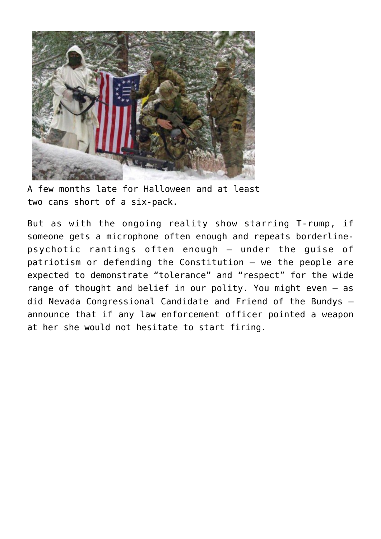

A few months late for Halloween and at least two cans short of a six-pack.

But as with the ongoing reality show starring T-rump, if someone gets a microphone often enough and repeats borderlinepsychotic rantings often enough – under the guise of patriotism or defending the Constitution – we the people are expected to demonstrate "tolerance" and "respect" for the wide range of thought and belief in our polity. You might even – as did Nevada Congressional Candidate and Friend of the Bundys – announce that if any law enforcement officer pointed a weapon at her she would not hesitate to start firing.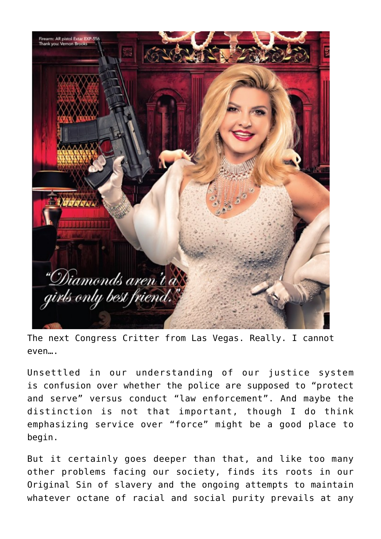

The next Congress Critter from Las Vegas. Really. I cannot even….

Unsettled in our understanding of our justice system is confusion over whether the police are supposed to "protect and serve" versus conduct "law enforcement". And maybe the distinction is not that important, though I do think emphasizing service over "force" might be a good place to begin.

But it certainly goes deeper than that, and like too many other problems facing our society, finds its roots in our Original Sin of slavery and the ongoing attempts to maintain whatever octane of racial and social purity prevails at any